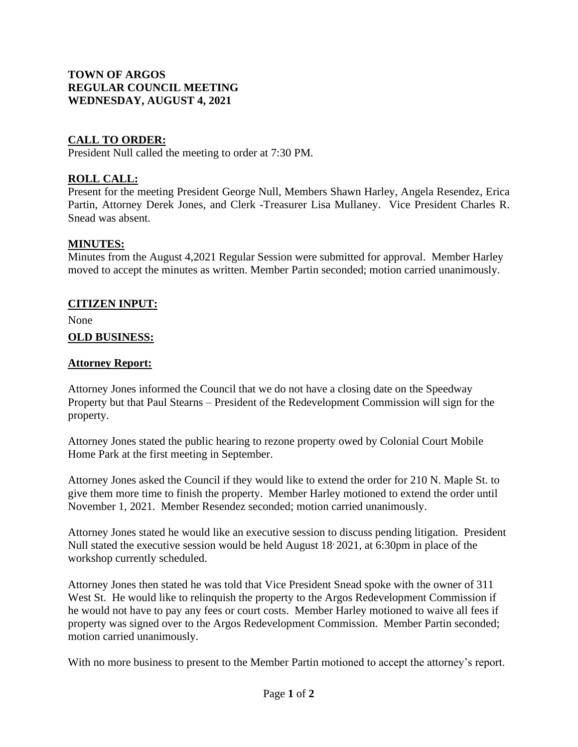## **TOWN OF ARGOS REGULAR COUNCIL MEETING WEDNESDAY, AUGUST 4, 2021**

## **CALL TO ORDER:**

President Null called the meeting to order at 7:30 PM.

## **ROLL CALL:**

Present for the meeting President George Null, Members Shawn Harley, Angela Resendez, Erica Partin, Attorney Derek Jones, and Clerk -Treasurer Lisa Mullaney. Vice President Charles R. Snead was absent.

## **MINUTES:**

Minutes from the August 4,2021 Regular Session were submitted for approval. Member Harley moved to accept the minutes as written. Member Partin seconded; motion carried unanimously.

## **CITIZEN INPUT:**

None

## **OLD BUSINESS:**

## **Attorney Report:**

Attorney Jones informed the Council that we do not have a closing date on the Speedway Property but that Paul Stearns – President of the Redevelopment Commission will sign for the property.

Attorney Jones stated the public hearing to rezone property owed by Colonial Court Mobile Home Park at the first meeting in September.

Attorney Jones asked the Council if they would like to extend the order for 210 N. Maple St. to give them more time to finish the property. Member Harley motioned to extend the order until November 1, 2021. Member Resendez seconded; motion carried unanimously.

Attorney Jones stated he would like an executive session to discuss pending litigation. President Null stated the executive session would be held August 18, 2021, at 6:30pm in place of the workshop currently scheduled.

Attorney Jones then stated he was told that Vice President Snead spoke with the owner of 311 West St. He would like to relinquish the property to the Argos Redevelopment Commission if he would not have to pay any fees or court costs. Member Harley motioned to waive all fees if property was signed over to the Argos Redevelopment Commission. Member Partin seconded; motion carried unanimously.

With no more business to present to the Member Partin motioned to accept the attorney's report.